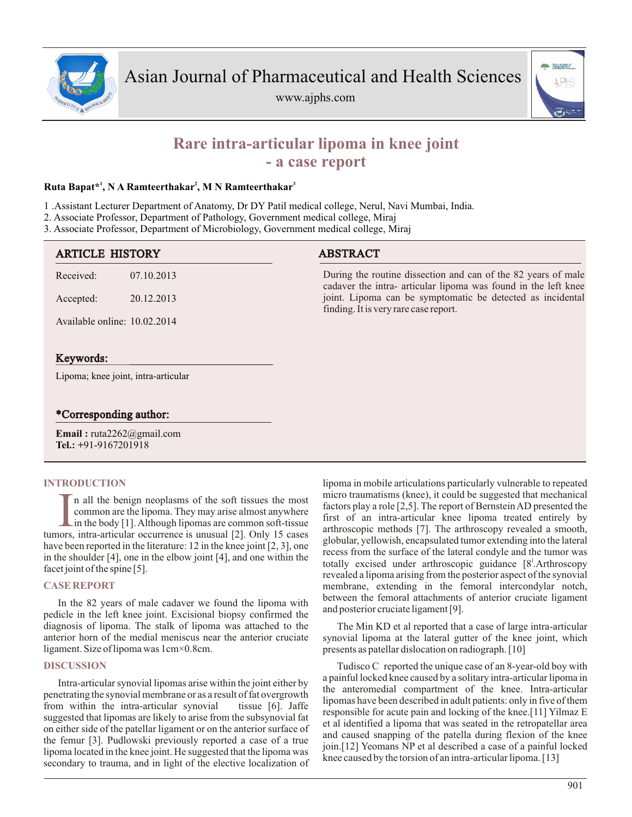





# **Rare intra-articular lipoma in knee joint - a case report**

# **<sup>1</sup> <sup>2</sup> <sup>3</sup> Ruta Bapat\* , N A Ramteerthakar , M N Ramteerthakar**

1 .Assistant Lecturer Department of Anatomy, Dr DY Patil medical college, Nerul, Navi Mumbai, India.

- 2. Associate Professor, Department of Pathology, Government medical college, Miraj
- 3. Associate Professor, Department of Microbiology, Government medical college, Miraj

| <b>ARTICLE HISTORY</b>              |            | <b>ABSTRACT</b>                                                                                                                 |
|-------------------------------------|------------|---------------------------------------------------------------------------------------------------------------------------------|
| Received:                           | 07.10.2013 | During the routine dissection and can of the 82 years of male<br>cadaver the intra- articular lipoma was found in the left knee |
| Accepted:                           | 20.12.2013 | joint. Lipoma can be symptomatic be detected as incidental<br>finding. It is very rare case report.                             |
| Available online: 10.02.2014        |            |                                                                                                                                 |
|                                     |            |                                                                                                                                 |
| Keywords:                           |            |                                                                                                                                 |
| Lipoma; knee joint, intra-articular |            |                                                                                                                                 |

## \*Corresponding author:

**Email :** ruta2262@gmail.com **Tel.: +**91-9167201918

### **INTRODUCTION**

In all the benign neoplasms of the soft tissues the most common are the lipoma. They may arise almost anywhere in the body [1]. Although lipomas are common soft-tissue tumors, intra-articular occurrence is unusual [2]. Onl n all the benign neoplasms of the soft tissues the most common are the lipoma. They may arise almost anywhere in the body [1]. Although lipomas are common soft-tissue have been reported in the literature: 12 in the knee joint [2, 3], one in the shoulder [4], one in the elbow joint [4], and one within the facet joint of the spine [5].

### **CASE REPORT**

In the 82 years of male cadaver we found the lipoma with pedicle in the left knee joint. Excisional biopsy confirmed the diagnosis of lipoma. The stalk of lipoma was attached to the anterior horn of the medial meniscus near the anterior cruciate ligament. Size of lipoma was 1cm×0.8cm.

### **DISCUSSION**

Intra-articular synovial lipomas arise within the joint either by penetrating the synovial membrane or as a result of fat overgrowth from within the intra-articular synovial tissue [6]. Jaffe suggested that lipomas are likely to arise from the subsynovial fat on either side of the patellar ligament or on the anterior surface of the femur [3]. Pudlowski previously reported a case of a true lipoma located in the knee joint. He suggested that the lipoma was secondary to trauma, and in light of the elective localization of lipoma in mobile articulations particularly vulnerable to repeated micro traumatisms (knee), it could be suggested that mechanical factors play a role [2,5]. The report of Bernstein AD presented the first of an intra-articular knee lipoma treated entirely by arthroscopic methods [7]. The arthroscopy revealed a smooth, globular, yellowish, encapsulated tumor extending into the lateral recess from the surface of the lateral condyle and the tumor was totally excised under arthroscopic guidance  $[8^1]$ . Arthroscopy revealed a lipoma arising from the posterior aspect of the synovial membrane, extending in the femoral intercondylar notch, between the femoral attachments of anterior cruciate ligament and posterior cruciate ligament [9].

The Min KD et al reported that a case of large intra-articular synovial lipoma at the lateral gutter of the knee joint, which presents as patellar dislocation on radiograph. [10]

Tudisco C reported the unique case of an 8-year-old boy with a painful locked knee caused by a solitary intra-articular lipoma in the anteromedial compartment of the knee. Intra-articular lipomas have been described in adult patients: only in five of them responsible for acute pain and locking of the knee.[11] Yilmaz E et al identified a lipoma that was seated in the retropatellar area and caused snapping of the patella during flexion of the knee join.[12] Yeomans NP et al described a case of a painful locked knee caused by the torsion of an intra-articular lipoma. [13]